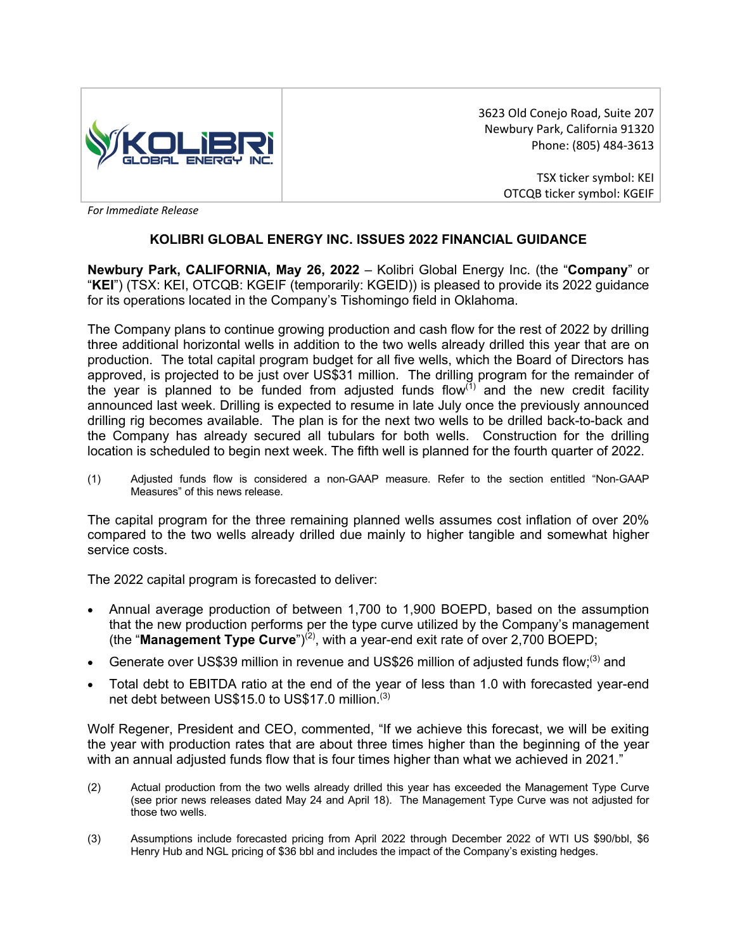

3623 Old Conejo Road, Suite 207 Newbury Park, California 91320 Phone: (805) 484-3613

> TSX ticker symbol: KEI OTCQB ticker symbol: KGEIF

*For Immediate Release* 

# **KOLIBRI GLOBAL ENERGY INC. ISSUES 2022 FINANCIAL GUIDANCE**

**Newbury Park, CALIFORNIA, May 26, 2022** – Kolibri Global Energy Inc. (the "**Company**" or "**KEI**") (TSX: KEI, OTCQB: KGEIF (temporarily: KGEID)) is pleased to provide its 2022 guidance for its operations located in the Company's Tishomingo field in Oklahoma.

The Company plans to continue growing production and cash flow for the rest of 2022 by drilling three additional horizontal wells in addition to the two wells already drilled this year that are on production. The total capital program budget for all five wells, which the Board of Directors has approved, is projected to be just over US\$31 million. The drilling program for the remainder of the year is planned to be funded from adjusted funds flow $<sup>(1)</sup>$  and the new credit facility</sup> announced last week. Drilling is expected to resume in late July once the previously announced drilling rig becomes available. The plan is for the next two wells to be drilled back-to-back and the Company has already secured all tubulars for both wells. Construction for the drilling location is scheduled to begin next week. The fifth well is planned for the fourth quarter of 2022.

(1) Adjusted funds flow is considered a non-GAAP measure. Refer to the section entitled "Non-GAAP Measures" of this news release.

The capital program for the three remaining planned wells assumes cost inflation of over 20% compared to the two wells already drilled due mainly to higher tangible and somewhat higher service costs.

The 2022 capital program is forecasted to deliver:

- Annual average production of between 1,700 to 1,900 BOEPD, based on the assumption that the new production performs per the type curve utilized by the Company's management (the "**Management Type Curve**")(2), with a year-end exit rate of over 2,700 BOEPD;
- Generate over US\$39 million in revenue and US\$26 million of adjusted funds flow;<sup>(3)</sup> and
- Total debt to EBITDA ratio at the end of the year of less than 1.0 with forecasted year-end net debt between US\$15.0 to US\$17.0 million.(3)

Wolf Regener, President and CEO, commented, "If we achieve this forecast, we will be exiting the year with production rates that are about three times higher than the beginning of the year with an annual adjusted funds flow that is four times higher than what we achieved in 2021."

- (2) Actual production from the two wells already drilled this year has exceeded the Management Type Curve (see prior news releases dated May 24 and April 18). The Management Type Curve was not adjusted for those two wells.
- (3) Assumptions include forecasted pricing from April 2022 through December 2022 of WTI US \$90/bbl, \$6 Henry Hub and NGL pricing of \$36 bbl and includes the impact of the Company's existing hedges.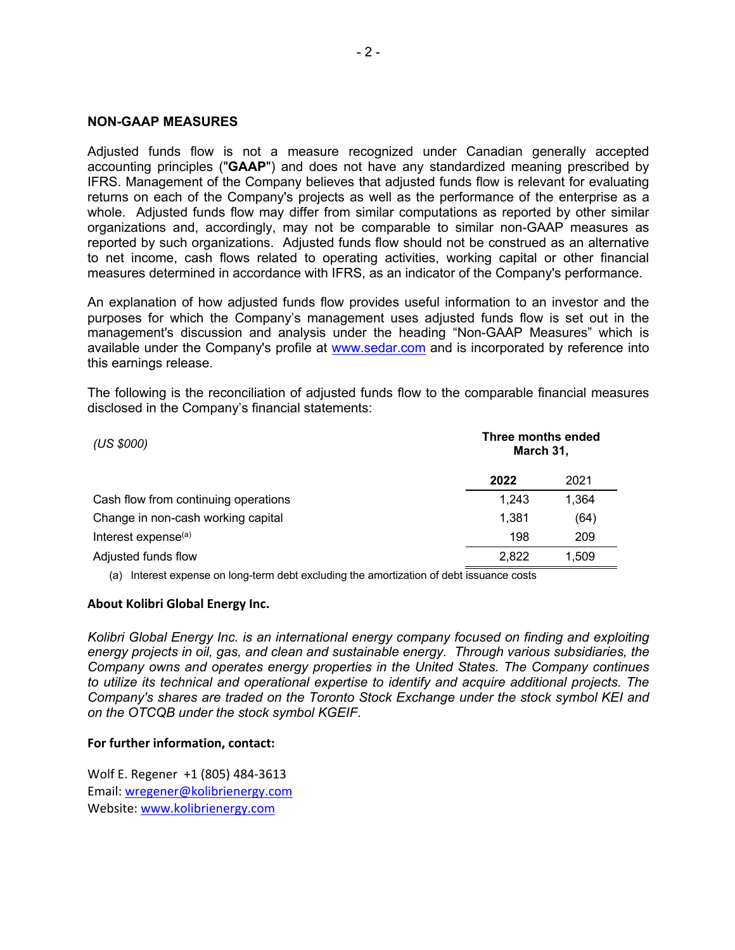## **NON-GAAP MEASURES**

Adjusted funds flow is not a measure recognized under Canadian generally accepted accounting principles ("**GAAP**") and does not have any standardized meaning prescribed by IFRS. Management of the Company believes that adjusted funds flow is relevant for evaluating returns on each of the Company's projects as well as the performance of the enterprise as a whole. Adjusted funds flow may differ from similar computations as reported by other similar organizations and, accordingly, may not be comparable to similar non-GAAP measures as reported by such organizations. Adjusted funds flow should not be construed as an alternative to net income, cash flows related to operating activities, working capital or other financial measures determined in accordance with IFRS, as an indicator of the Company's performance.

An explanation of how adjusted funds flow provides useful information to an investor and the purposes for which the Company's management uses adjusted funds flow is set out in the management's discussion and analysis under the heading "Non-GAAP Measures" which is available under the Company's profile at www.sedar.com and is incorporated by reference into this earnings release.

The following is the reconciliation of adjusted funds flow to the comparable financial measures disclosed in the Company's financial statements:

| (US \$000)                           | Three months ended<br>March 31, |       |
|--------------------------------------|---------------------------------|-------|
|                                      | 2022                            | 2021  |
| Cash flow from continuing operations | 1.243                           | 1.364 |
| Change in non-cash working capital   | 1.381                           | (64)  |
| Interest expense <sup>(a)</sup>      | 198                             | 209   |
| Adjusted funds flow                  | 2,822                           | 1.509 |

(a) Interest expense on long-term debt excluding the amortization of debt issuance costs

## **About Kolibri Global Energy Inc.**

*Kolibri Global Energy Inc. is an international energy company focused on finding and exploiting energy projects in oil, gas, and clean and sustainable energy. Through various subsidiaries, the Company owns and operates energy properties in the United States. The Company continues to utilize its technical and operational expertise to identify and acquire additional projects. The Company's shares are traded on the Toronto Stock Exchange under the stock symbol KEI and on the OTCQB under the stock symbol KGEIF.*

## **For further information, contact:**

Wolf E. Regener +1 (805) 484-3613 Email: wregener@kolibrienergy.com Website: www.kolibrienergy.com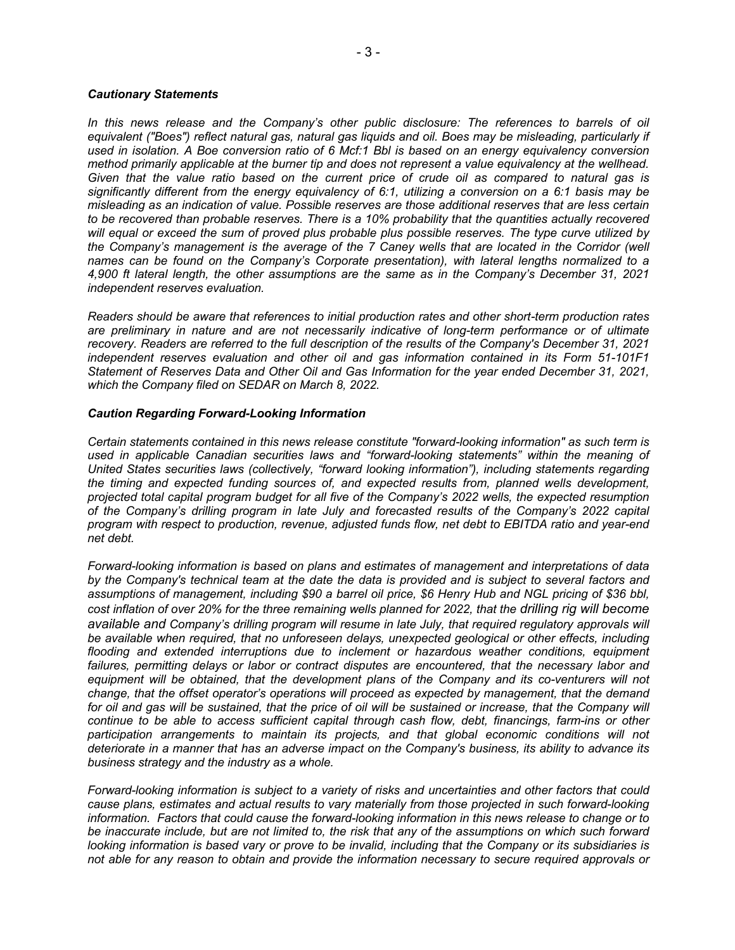### *Cautionary Statements*

In this news release and the Company's other public disclosure: The references to barrels of oil *equivalent ("Boes") reflect natural gas, natural gas liquids and oil. Boes may be misleading, particularly if used in isolation. A Boe conversion ratio of 6 Mcf:1 Bbl is based on an energy equivalency conversion method primarily applicable at the burner tip and does not represent a value equivalency at the wellhead. Given that the value ratio based on the current price of crude oil as compared to natural gas is significantly different from the energy equivalency of 6:1, utilizing a conversion on a 6:1 basis may be misleading as an indication of value. Possible reserves are those additional reserves that are less certain to be recovered than probable reserves. There is a 10% probability that the quantities actually recovered will equal or exceed the sum of proved plus probable plus possible reserves. The type curve utilized by the Company's management is the average of the 7 Caney wells that are located in the Corridor (well names can be found on the Company's Corporate presentation), with lateral lengths normalized to a 4,900 ft lateral length, the other assumptions are the same as in the Company's December 31, 2021 independent reserves evaluation.*

*Readers should be aware that references to initial production rates and other short-term production rates are preliminary in nature and are not necessarily indicative of long-term performance or of ultimate recovery. Readers are referred to the full description of the results of the Company's December 31, 2021 independent reserves evaluation and other oil and gas information contained in its Form 51-101F1 Statement of Reserves Data and Other Oil and Gas Information for the year ended December 31, 2021, which the Company filed on SEDAR on March 8, 2022.*

### *Caution Regarding Forward-Looking Information*

*Certain statements contained in this news release constitute "forward-looking information" as such term is used in applicable Canadian securities laws and "forward-looking statements" within the meaning of United States securities laws (collectively, "forward looking information"), including statements regarding the timing and expected funding sources of, and expected results from, planned wells development, projected total capital program budget for all five of the Company's 2022 wells, the expected resumption of the Company's drilling program in late July and forecasted results of the Company's 2022 capital program with respect to production, revenue, adjusted funds flow, net debt to EBITDA ratio and year-end net debt.*

*Forward-looking information is based on plans and estimates of management and interpretations of data by the Company's technical team at the date the data is provided and is subject to several factors and assumptions of management, including \$90 a barrel oil price, \$6 Henry Hub and NGL pricing of \$36 bbl, cost inflation of over 20% for the three remaining wells planned for 2022, that the drilling rig will become available and Company's drilling program will resume in late July, that required regulatory approvals will be available when required, that no unforeseen delays, unexpected geological or other effects, including flooding and extended interruptions due to inclement or hazardous weather conditions, equipment failures, permitting delays or labor or contract disputes are encountered, that the necessary labor and equipment will be obtained, that the development plans of the Company and its co-venturers will not change, that the offset operator's operations will proceed as expected by management, that the demand*  for oil and gas will be sustained, that the price of oil will be sustained or increase, that the Company will *continue to be able to access sufficient capital through cash flow, debt, financings, farm-ins or other participation arrangements to maintain its projects, and that global economic conditions will not deteriorate in a manner that has an adverse impact on the Company's business, its ability to advance its business strategy and the industry as a whole.*

*Forward-looking information is subject to a variety of risks and uncertainties and other factors that could cause plans, estimates and actual results to vary materially from those projected in such forward-looking information. Factors that could cause the forward-looking information in this news release to change or to be inaccurate include, but are not limited to, the risk that any of the assumptions on which such forward looking information is based vary or prove to be invalid, including that the Company or its subsidiaries is not able for any reason to obtain and provide the information necessary to secure required approvals or*